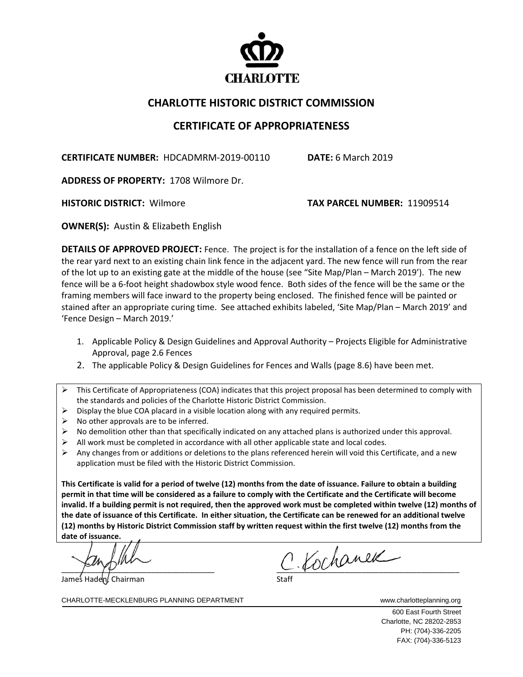

## **CHARLOTTE HISTORIC DISTRICT COMMISSION**

## **CERTIFICATE OF APPROPRIATENESS**

**CERTIFICATE NUMBER:** HDCADMRM-2019-00110 **DATE:** 6 March 2019

**ADDRESS OF PROPERTY:** 1708 Wilmore Dr.

**HISTORIC DISTRICT:** Wilmore **TAX PARCEL NUMBER:** 11909514

**OWNER(S):** Austin & Elizabeth English

**DETAILS OF APPROVED PROJECT:** Fence. The project is for the installation of a fence on the left side of the rear yard next to an existing chain link fence in the adjacent yard. The new fence will run from the rear of the lot up to an existing gate at the middle of the house (see "Site Map/Plan – March 2019'). The new fence will be a 6-foot height shadowbox style wood fence. Both sides of the fence will be the same or the framing members will face inward to the property being enclosed. The finished fence will be painted or stained after an appropriate curing time. See attached exhibits labeled, 'Site Map/Plan – March 2019' and 'Fence Design – March 2019.'

- 1. Applicable Policy & Design Guidelines and Approval Authority Projects Eligible for Administrative Approval, page 2.6 Fences
- 2. The applicable Policy & Design Guidelines for Fences and Walls (page 8.6) have been met.
- $\triangleright$  This Certificate of Appropriateness (COA) indicates that this project proposal has been determined to comply with the standards and policies of the Charlotte Historic District Commission.
- $\triangleright$  Display the blue COA placard in a visible location along with any required permits.
- $\triangleright$  No other approvals are to be inferred.
- $\triangleright$  No demolition other than that specifically indicated on any attached plans is authorized under this approval.
- $\triangleright$  All work must be completed in accordance with all other applicable state and local codes.
- $\triangleright$  Any changes from or additions or deletions to the plans referenced herein will void this Certificate, and a new application must be filed with the Historic District Commission.

**This Certificate is valid for a period of twelve (12) months from the date of issuance. Failure to obtain a building permit in that time will be considered as a failure to comply with the Certificate and the Certificate will become invalid. If a building permit is not required, then the approved work must be completed within twelve (12) months of the date of issuance of this Certificate. In either situation, the Certificate can be renewed for an additional twelve (12) months by Historic District Commission staff by written request within the first twelve (12) months from the date of issuance.**

James Haden, Chairman

 $c$ . Kochanek

CHARLOTTE-MECKLENBURG PLANNING DEPARTMENT www.charlotteplanning.org

600 East Fourth Street Charlotte, NC 28202-2853 PH: (704)-336-2205 FAX: (704)-336-5123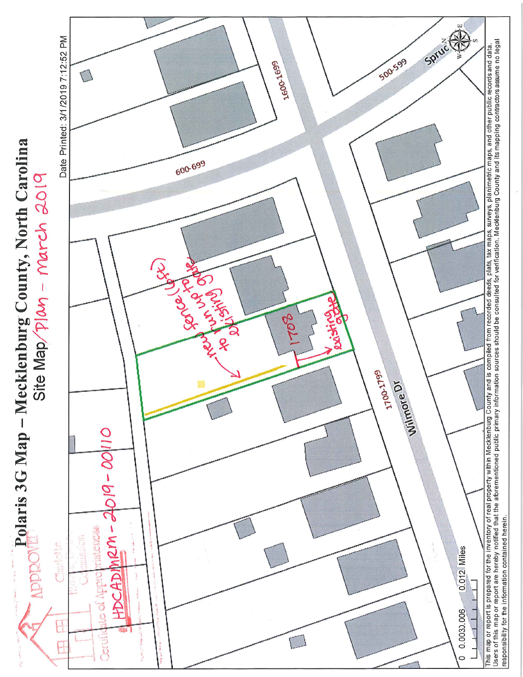